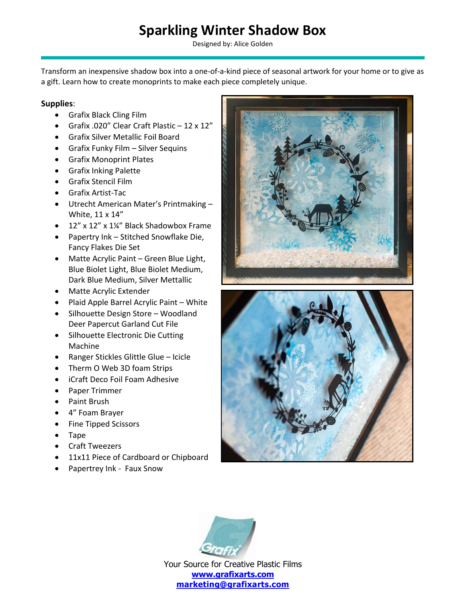## **Sparkling Winter Shadow Box**

Designed by: Alice Golden

Transform an inexpensive shadow box into a one-of-a-kind piece of seasonal artwork for your home or to give as a gift. Learn how to create monoprints to make each piece completely unique.

## **Supplies**:

- Grafix Black Cling Film
- Grafix .020" Clear Craft Plastic 12 x 12"
- Grafix Silver Metallic Foil Board
- Grafix Funky Film Silver Sequins
- Grafix Monoprint Plates
- Grafix Inking Palette
- Grafix Stencil Film
- Grafix Artist-Tac
- Utrecht American Mater's Printmaking White, 11 x 14"
- 12" x 12" x 1¼" Black Shadowbox Frame
- Papertry Ink Stitched Snowflake Die, Fancy Flakes Die Set
- Matte Acrylic Paint Green Blue Light, Blue Biolet Light, Blue Biolet Medium, Dark Blue Medium, Silver Mettallic
- Matte Acrylic Extender
- Plaid Apple Barrel Acrylic Paint White
- Silhouette Design Store Woodland Deer Papercut Garland Cut File
- Silhouette Electronic Die Cutting Machine
- Ranger Stickles Glittle Glue Icicle
- Therm O Web 3D foam Strips
- iCraft Deco Foil Foam Adhesive
- Paper Trimmer
- Paint Brush
- 4" Foam Brayer
- Fine Tipped Scissors
- Tape
- Craft Tweezers
- 11x11 Piece of Cardboard or Chipboard
- Papertrey Ink Faux Snow







Your Source for Creative Plastic Films **[www.grafixarts.com](http://www.grafixarts.com/) [marketing@grafixarts.com](mailto:marketing@grafixarts.com)**